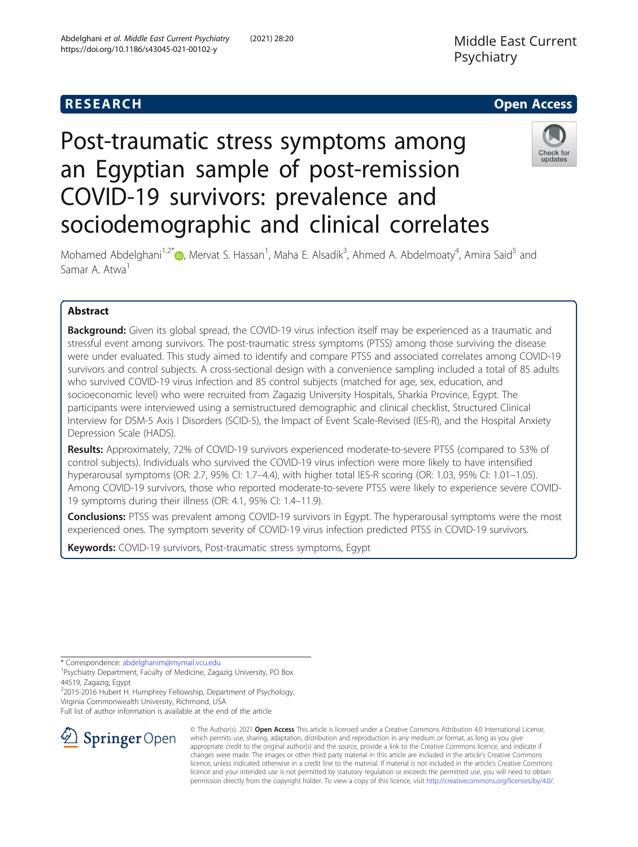# **RESEARCH CHEAR CHEAR CHEAR CHEAR CHEAR CHEAR CHEAR CHEAR CHEAR CHEAR CHEAR CHEAR CHEAR CHEAR CHEAR CHEAR CHEAR**

# Post-traumatic stress symptoms among an Egyptian sample of post-remission COVID-19 survivors: prevalence and sociodemographic and clinical correlates



Mohamed Abdelghani<sup>1[,](http://orcid.org/0000-0002-1245-6289)2\*</sup> (@, Mervat S. Hassan<sup>1</sup>, Maha E. Alsadik<sup>3</sup>, Ahmed A. Abdelmoaty<sup>4</sup>, Amira Said<sup>5</sup> and Samar A. Atwa<sup>1</sup>

# Abstract

**Background:** Given its global spread, the COVID-19 virus infection itself may be experienced as a traumatic and stressful event among survivors. The post-traumatic stress symptoms (PTSS) among those surviving the disease were under evaluated. This study aimed to identify and compare PTSS and associated correlates among COVID-19 survivors and control subjects. A cross-sectional design with a convenience sampling included a total of 85 adults who survived COVID-19 virus infection and 85 control subjects (matched for age, sex, education, and socioeconomic level) who were recruited from Zagazig University Hospitals, Sharkia Province, Egypt. The participants were interviewed using a semistructured demographic and clinical checklist, Structured Clinical Interview for DSM-5 Axis I Disorders (SCID-5), the Impact of Event Scale-Revised (IES-R), and the Hospital Anxiety Depression Scale (HADS).

Results: Approximately, 72% of COVID-19 survivors experienced moderate-to-severe PTSS (compared to 53% of control subjects). Individuals who survived the COVID-19 virus infection were more likely to have intensified hyperarousal symptoms (OR: 2.7, 95% CI: 1.7–4.4), with higher total IES-R scoring (OR: 1.03, 95% CI: 1.01–1.05). Among COVID-19 survivors, those who reported moderate-to-severe PTSS were likely to experience severe COVID-19 symptoms during their illness (OR: 4.1, 95% CI: 1.4–11.9).

**Conclusions:** PTSS was prevalent among COVID-19 survivors in Egypt. The hyperarousal symptoms were the most experienced ones. The symptom severity of COVID-19 virus infection predicted PTSS in COVID-19 survivors.

Keywords: COVID-19 survivors, Post-traumatic stress symptoms, Egypt

\* Correspondence: [abdelghanim@mymail.vcu.edu](mailto:abdelghanim@mymail.vcu.edu) <sup>1</sup>

<sup>1</sup>Psychiatry Department, Faculty of Medicine, Zagazig University, PO Box 44519, Zagazig, Egypt

<sup>2</sup>2015-2016 Hubert H. Humphrey Fellowship, Department of Psychology, Virginia Commonwealth University, Richmond, USA

Full list of author information is available at the end of the article



© The Author(s). 2021 Open Access This article is licensed under a Creative Commons Attribution 4.0 International License, which permits use, sharing, adaptation, distribution and reproduction in any medium or format, as long as you give appropriate credit to the original author(s) and the source, provide a link to the Creative Commons licence, and indicate if changes were made. The images or other third party material in this article are included in the article's Creative Commons licence, unless indicated otherwise in a credit line to the material. If material is not included in the article's Creative Commons licence and your intended use is not permitted by statutory regulation or exceeds the permitted use, you will need to obtain permission directly from the copyright holder. To view a copy of this licence, visit <http://creativecommons.org/licenses/by/4.0/>.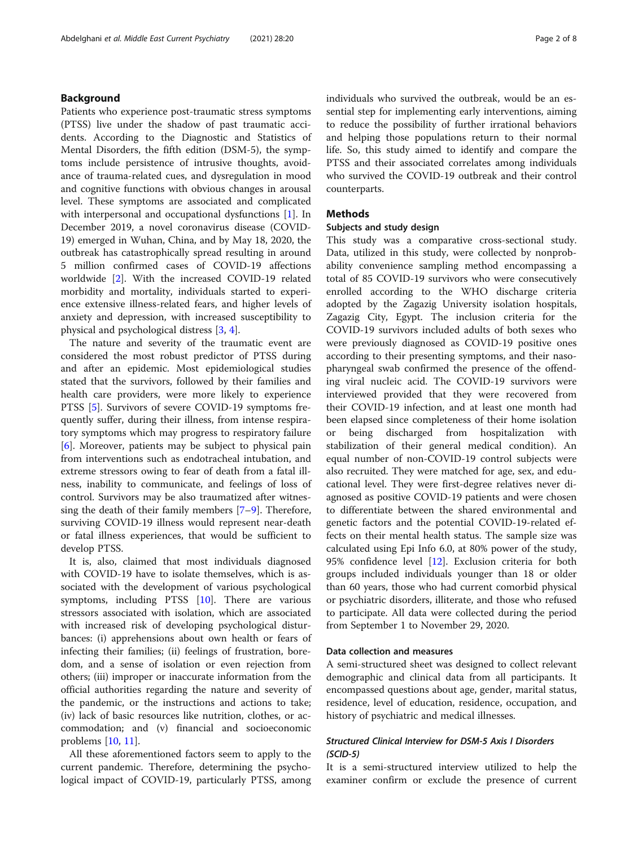#### Background

Patients who experience post-traumatic stress symptoms (PTSS) live under the shadow of past traumatic accidents. According to the Diagnostic and Statistics of Mental Disorders, the fifth edition (DSM-5), the symptoms include persistence of intrusive thoughts, avoidance of trauma-related cues, and dysregulation in mood and cognitive functions with obvious changes in arousal level. These symptoms are associated and complicated with interpersonal and occupational dysfunctions [\[1\]](#page-6-0). In December 2019, a novel coronavirus disease (COVID-19) emerged in Wuhan, China, and by May 18, 2020, the outbreak has catastrophically spread resulting in around 5 million confirmed cases of COVID-19 affections worldwide [[2\]](#page-6-0). With the increased COVID-19 related morbidity and mortality, individuals started to experience extensive illness-related fears, and higher levels of anxiety and depression, with increased susceptibility to physical and psychological distress [\[3](#page-6-0), [4](#page-6-0)].

The nature and severity of the traumatic event are considered the most robust predictor of PTSS during and after an epidemic. Most epidemiological studies stated that the survivors, followed by their families and health care providers, were more likely to experience PTSS [[5\]](#page-6-0). Survivors of severe COVID-19 symptoms frequently suffer, during their illness, from intense respiratory symptoms which may progress to respiratory failure [[6\]](#page-6-0). Moreover, patients may be subject to physical pain from interventions such as endotracheal intubation, and extreme stressors owing to fear of death from a fatal illness, inability to communicate, and feelings of loss of control. Survivors may be also traumatized after witnessing the death of their family members [[7](#page-6-0)–[9\]](#page-6-0). Therefore, surviving COVID-19 illness would represent near-death or fatal illness experiences, that would be sufficient to develop PTSS.

It is, also, claimed that most individuals diagnosed with COVID-19 have to isolate themselves, which is associated with the development of various psychological symptoms, including PTSS [[10](#page-6-0)]. There are various stressors associated with isolation, which are associated with increased risk of developing psychological disturbances: (i) apprehensions about own health or fears of infecting their families; (ii) feelings of frustration, boredom, and a sense of isolation or even rejection from others; (iii) improper or inaccurate information from the official authorities regarding the nature and severity of the pandemic, or the instructions and actions to take; (iv) lack of basic resources like nutrition, clothes, or accommodation; and (v) financial and socioeconomic problems [[10,](#page-6-0) [11\]](#page-6-0).

All these aforementioned factors seem to apply to the current pandemic. Therefore, determining the psychological impact of COVID-19, particularly PTSS, among individuals who survived the outbreak, would be an essential step for implementing early interventions, aiming to reduce the possibility of further irrational behaviors and helping those populations return to their normal life. So, this study aimed to identify and compare the PTSS and their associated correlates among individuals who survived the COVID-19 outbreak and their control counterparts.

## Methods

#### Subjects and study design

This study was a comparative cross-sectional study. Data, utilized in this study, were collected by nonprobability convenience sampling method encompassing a total of 85 COVID-19 survivors who were consecutively enrolled according to the WHO discharge criteria adopted by the Zagazig University isolation hospitals, Zagazig City, Egypt. The inclusion criteria for the COVID-19 survivors included adults of both sexes who were previously diagnosed as COVID-19 positive ones according to their presenting symptoms, and their nasopharyngeal swab confirmed the presence of the offending viral nucleic acid. The COVID-19 survivors were interviewed provided that they were recovered from their COVID-19 infection, and at least one month had been elapsed since completeness of their home isolation or being discharged from hospitalization with stabilization of their general medical condition). An equal number of non-COVID-19 control subjects were also recruited. They were matched for age, sex, and educational level. They were first-degree relatives never diagnosed as positive COVID-19 patients and were chosen to differentiate between the shared environmental and genetic factors and the potential COVID-19-related effects on their mental health status. The sample size was calculated using Epi Info 6.0, at 80% power of the study, 95% confidence level [\[12](#page-6-0)]. Exclusion criteria for both groups included individuals younger than 18 or older than 60 years, those who had current comorbid physical or psychiatric disorders, illiterate, and those who refused to participate. All data were collected during the period from September 1 to November 29, 2020.

#### Data collection and measures

A semi-structured sheet was designed to collect relevant demographic and clinical data from all participants. It encompassed questions about age, gender, marital status, residence, level of education, residence, occupation, and history of psychiatric and medical illnesses.

#### Structured Clinical Interview for DSM-5 Axis I Disorders (SCID-5)

It is a semi-structured interview utilized to help the examiner confirm or exclude the presence of current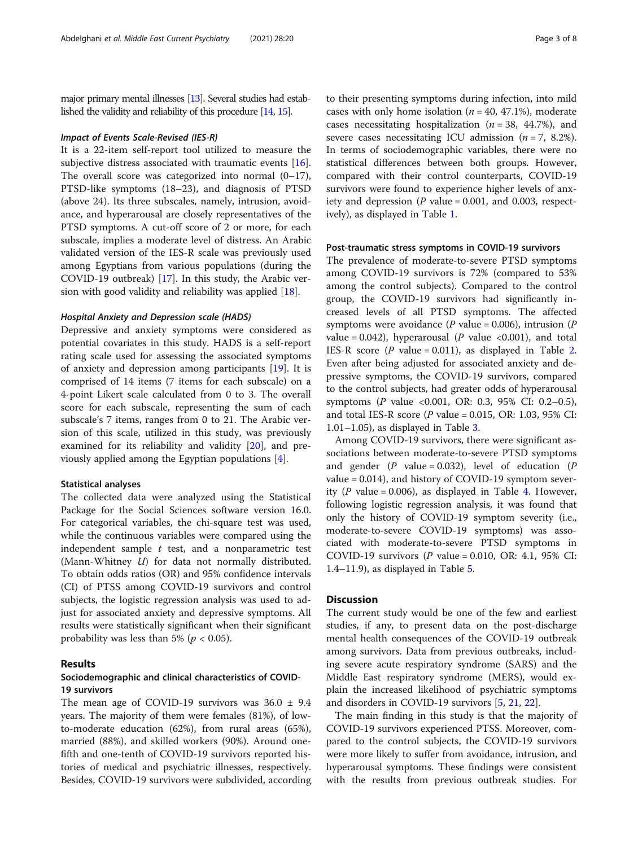major primary mental illnesses [\[13\]](#page-6-0). Several studies had established the validity and reliability of this procedure [\[14](#page-6-0), [15](#page-6-0)].

#### Impact of Events Scale-Revised (IES-R)

It is a 22-item self-report tool utilized to measure the subjective distress associated with traumatic events [\[16](#page-6-0)]. The overall score was categorized into normal  $(0-17)$ , PTSD-like symptoms (18–23), and diagnosis of PTSD (above 24). Its three subscales, namely, intrusion, avoidance, and hyperarousal are closely representatives of the PTSD symptoms. A cut-off score of 2 or more, for each subscale, implies a moderate level of distress. An Arabic validated version of the IES-R scale was previously used among Egyptians from various populations (during the COVID-19 outbreak) [[17\]](#page-6-0). In this study, the Arabic version with good validity and reliability was applied [\[18](#page-6-0)].

#### Hospital Anxiety and Depression scale (HADS)

Depressive and anxiety symptoms were considered as potential covariates in this study. HADS is a self-report rating scale used for assessing the associated symptoms of anxiety and depression among participants [[19\]](#page-6-0). It is comprised of 14 items (7 items for each subscale) on a 4-point Likert scale calculated from 0 to 3. The overall score for each subscale, representing the sum of each subscale's 7 items, ranges from 0 to 21. The Arabic version of this scale, utilized in this study, was previously examined for its reliability and validity [\[20](#page-6-0)], and previously applied among the Egyptian populations [\[4](#page-6-0)].

#### Statistical analyses

The collected data were analyzed using the Statistical Package for the Social Sciences software version 16.0. For categorical variables, the chi-square test was used, while the continuous variables were compared using the independent sample  $t$  test, and a nonparametric test (Mann-Whitney U) for data not normally distributed. To obtain odds ratios (OR) and 95% confidence intervals (CI) of PTSS among COVID-19 survivors and control subjects, the logistic regression analysis was used to adjust for associated anxiety and depressive symptoms. All results were statistically significant when their significant probability was less than 5% ( $p < 0.05$ ).

#### Results

#### Sociodemographic and clinical characteristics of COVID-19 survivors

The mean age of COVID-19 survivors was  $36.0 \pm 9.4$ years. The majority of them were females (81%), of lowto-moderate education (62%), from rural areas (65%), married (88%), and skilled workers (90%). Around onefifth and one-tenth of COVID-19 survivors reported histories of medical and psychiatric illnesses, respectively. Besides, COVID-19 survivors were subdivided, according to their presenting symptoms during infection, into mild cases with only home isolation  $(n = 40, 47.1%)$ , moderate cases necessitating hospitalization ( $n = 38$ , 44.7%), and severe cases necessitating ICU admission  $(n = 7, 8.2\%)$ . In terms of sociodemographic variables, there were no statistical differences between both groups. However, compared with their control counterparts, COVID-19 survivors were found to experience higher levels of anxiety and depression ( $P$  value = 0.001, and 0.003, respectively), as displayed in Table [1.](#page-3-0)

#### Post-traumatic stress symptoms in COVID-19 survivors

The prevalence of moderate-to-severe PTSD symptoms among COVID-19 survivors is 72% (compared to 53% among the control subjects). Compared to the control group, the COVID-19 survivors had significantly increased levels of all PTSD symptoms. The affected symptoms were avoidance ( $P$  value = 0.006), intrusion ( $P$ value = 0.042), hyperarousal (P value <0.001), and total IES-R score ( $P$  value = 0.011), as displayed in Table [2](#page-3-0). Even after being adjusted for associated anxiety and depressive symptoms, the COVID-19 survivors, compared to the control subjects, had greater odds of hyperarousal symptoms (P value <0.001, OR: 0.3, 95% CI: 0.2-0.5), and total IES-R score ( $P$  value = 0.015, OR: 1.03, 95% CI:  $1.01-1.05$ ), as displayed in Table [3](#page-4-0).

Among COVID-19 survivors, there were significant associations between moderate-to-severe PTSD symptoms and gender ( $P$  value = 0.032), level of education ( $P$ value = 0.014), and history of COVID-19 symptom sever-ity (P value = 0.006), as displayed in Table [4](#page-4-0). However, following logistic regression analysis, it was found that only the history of COVID-19 symptom severity (i.e., moderate-to-severe COVID-19 symptoms) was associated with moderate-to-severe PTSD symptoms in COVID-19 survivors (P value = 0.010, OR: 4.1, 95% CI:  $1.4-11.9$ , as displayed in Table [5](#page-5-0).

#### **Discussion**

The current study would be one of the few and earliest studies, if any, to present data on the post-discharge mental health consequences of the COVID-19 outbreak among survivors. Data from previous outbreaks, including severe acute respiratory syndrome (SARS) and the Middle East respiratory syndrome (MERS), would explain the increased likelihood of psychiatric symptoms and disorders in COVID-19 survivors [[5,](#page-6-0) [21,](#page-6-0) [22\]](#page-6-0).

The main finding in this study is that the majority of COVID-19 survivors experienced PTSS. Moreover, compared to the control subjects, the COVID-19 survivors were more likely to suffer from avoidance, intrusion, and hyperarousal symptoms. These findings were consistent with the results from previous outbreak studies. For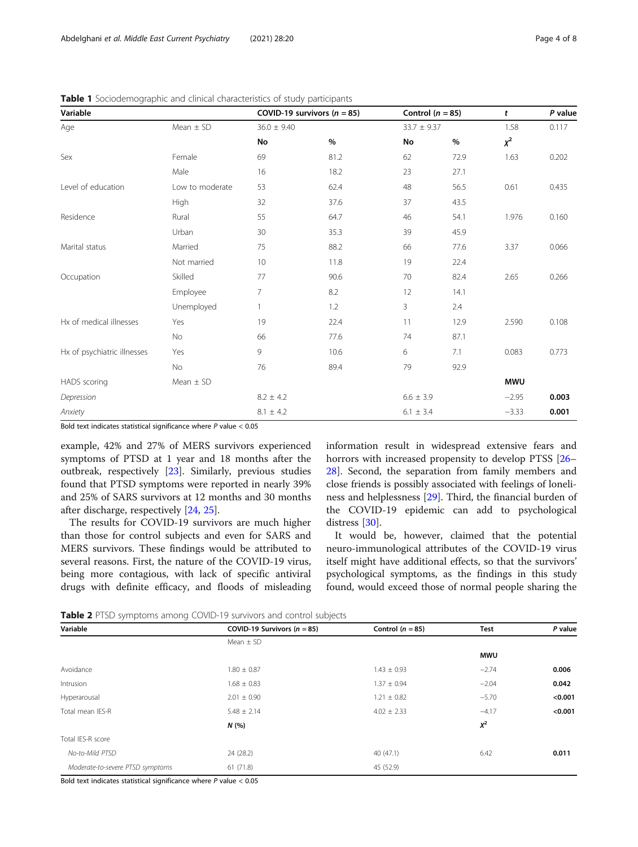| ╯<br>Variable               |                 |                 | COVID-19 survivors ( $n = 85$ ) |                 | Control ( $n = 85$ ) | t          | P value |
|-----------------------------|-----------------|-----------------|---------------------------------|-----------------|----------------------|------------|---------|
| Age                         | Mean $\pm$ SD   | $36.0 \pm 9.40$ |                                 | $33.7 \pm 9.37$ |                      | 1.58       | 0.117   |
|                             |                 | No              | $\%$                            | No              | $\%$                 | $x^2$      |         |
| Sex                         | Female          | 69              | 81.2                            | 62              | 72.9                 | 1.63       | 0.202   |
|                             | Male            | 16              | 18.2                            | 23              | 27.1                 |            |         |
| Level of education          | Low to moderate | 53              | 62.4                            | 48              | 56.5                 | 0.61       | 0.435   |
|                             | High            | 32              | 37.6                            | 37              | 43.5                 |            |         |
| Residence                   | Rural           | 55              | 64.7                            | 46              | 54.1                 | 1.976      | 0.160   |
|                             | Urban           | 30              | 35.3                            | 39              | 45.9                 |            |         |
| Marital status              | Married         | 75              | 88.2                            | 66              | 77.6                 | 3.37       | 0.066   |
|                             | Not married     | 10              | 11.8                            | 19              | 22.4                 |            |         |
| Occupation                  | Skilled         | 77              | 90.6                            | 70              | 82.4                 | 2.65       | 0.266   |
|                             | Employee        | $\overline{7}$  | 8.2                             | 12              | 14.1                 |            |         |
|                             | Unemployed      |                 | 1.2                             | 3               | 2.4                  |            |         |
| Hx of medical illnesses     | Yes             | 19              | 22.4                            | 11              | 12.9                 | 2.590      | 0.108   |
|                             | No              | 66              | 77.6                            | 74              | 87.1                 |            |         |
| Hx of psychiatric illnesses | Yes             | 9               | 10.6                            | 6               | 7.1                  | 0.083      | 0.773   |
|                             | No              | 76              | 89.4                            | 79              | 92.9                 |            |         |
| <b>HADS</b> scoring         | Mean $\pm$ SD   |                 |                                 |                 |                      | <b>MWU</b> |         |
| Depression                  |                 | $8.2 \pm 4.2$   |                                 | $6.6 \pm 3.9$   |                      | $-2.95$    | 0.003   |
| Anxiety                     |                 | $8.1 \pm 4.2$   |                                 | $6.1 \pm 3.4$   |                      | $-3.33$    | 0.001   |

<span id="page-3-0"></span>Table 1 Sociodemographic and clinical characteristics of study participants

Bold text indicates statistical significance where  $P$  value  $< 0.05$ 

example, 42% and 27% of MERS survivors experienced symptoms of PTSD at 1 year and 18 months after the outbreak, respectively [\[23\]](#page-6-0). Similarly, previous studies found that PTSD symptoms were reported in nearly 39% and 25% of SARS survivors at 12 months and 30 months after discharge, respectively [\[24](#page-6-0), [25\]](#page-6-0).

The results for COVID-19 survivors are much higher than those for control subjects and even for SARS and MERS survivors. These findings would be attributed to several reasons. First, the nature of the COVID-19 virus, being more contagious, with lack of specific antiviral drugs with definite efficacy, and floods of misleading information result in widespread extensive fears and horrors with increased propensity to develop PTSS [[26](#page-6-0)– [28\]](#page-6-0). Second, the separation from family members and close friends is possibly associated with feelings of loneliness and helplessness [[29](#page-6-0)]. Third, the financial burden of the COVID-19 epidemic can add to psychological distress [\[30](#page-6-0)].

It would be, however, claimed that the potential neuro-immunological attributes of the COVID-19 virus itself might have additional effects, so that the survivors' psychological symptoms, as the findings in this study found, would exceed those of normal people sharing the

Table 2 PTSD symptoms among COVID-19 survivors and control subjects

| Variable                         | COVID-19 Survivors ( $n = 85$ ) | Control ( $n = 85$ ) | Test       | P value |
|----------------------------------|---------------------------------|----------------------|------------|---------|
|                                  | Mean $\pm$ SD                   |                      |            |         |
|                                  |                                 |                      | <b>MWU</b> |         |
| Avoidance                        | $1.80 \pm 0.87$                 | $1.43 \pm 0.93$      | $-2.74$    | 0.006   |
| Intrusion                        | $1.68 \pm 0.83$                 | $1.37 \pm 0.94$      | $-2.04$    | 0.042   |
| Hyperarousal                     | $2.01 \pm 0.90$                 | $1.21 \pm 0.82$      | $-5.70$    | < 0.001 |
| Total mean IES-R                 | $5.48 \pm 2.14$                 | $4.02 \pm 2.33$      | $-4.17$    | < 0.001 |
|                                  | N(%                             |                      | $X^2$      |         |
| Total IES-R score                |                                 |                      |            |         |
| No-to-Mild PTSD                  | 24 (28.2)                       | 40(47.1)             | 6.42       | 0.011   |
| Moderate-to-severe PTSD symptoms | 61(71.8)                        | 45 (52.9)            |            |         |

Bold text indicates statistical significance where  $P$  value  $< 0.05$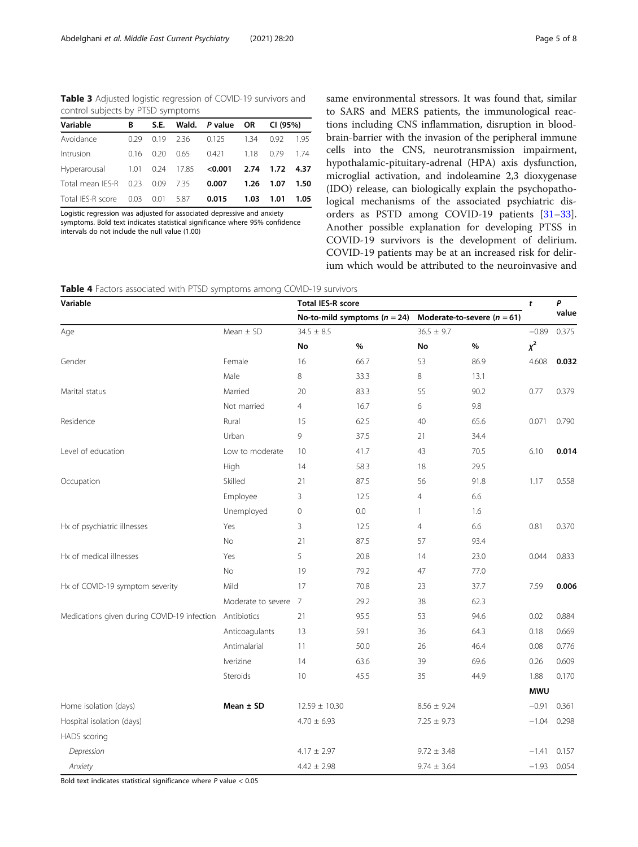<span id="page-4-0"></span>Table 3 Adjusted logistic regression of COVID-19 survivors and control subjects by PTSD symptoms

| Variable                                           | B    |      |      | S.E. Wald. P value OR CI (95%) |      |      |        |
|----------------------------------------------------|------|------|------|--------------------------------|------|------|--------|
| Avoidance                                          | 0.29 | 0.19 |      | 2.36 0.125 1.34                |      | 0.92 | 1.95   |
| Intrusion                                          | 0.16 | 0.20 | 0.65 | 0.421                          | 1.18 | 0.79 | 1.74   |
| Hyperarousal 1.01 0.24 17.85 <0.001 2.74 1.72 4.37 |      |      |      |                                |      |      |        |
| Total mean IES-R 0.23 0.09 7.35                    |      |      |      | 0.007                          | 1.26 | 1.07 | - 1.50 |
| Total IES-R score 0.03 0.01 5.87                   |      |      |      | 0.015                          | 1.03 | 1.01 | 1.05   |

Logistic regression was adjusted for associated depressive and anxiety symptoms. Bold text indicates statistical significance where 95% confidence intervals do not include the null value (1.00)

same environmental stressors. It was found that, similar to SARS and MERS patients, the immunological reactions including CNS inflammation, disruption in bloodbrain-barrier with the invasion of the peripheral immune cells into the CNS, neurotransmission impairment, hypothalamic-pituitary-adrenal (HPA) axis dysfunction, microglial activation, and indoleamine 2,3 dioxygenase (IDO) release, can biologically explain the psychopathological mechanisms of the associated psychiatric disorders as PSTD among COVID-19 patients [[31](#page-6-0)–[33](#page-6-0)]. Another possible explanation for developing PTSS in COVID-19 survivors is the development of delirium. COVID-19 patients may be at an increased risk for delirium which would be attributed to the neuroinvasive and

**Table 4** Factors associated with PTSD symptoms among COVID-19 survivors

| Variable                                    |                    | <b>Total IES-R score</b> |                                  |                                 |         |            | P             |
|---------------------------------------------|--------------------|--------------------------|----------------------------------|---------------------------------|---------|------------|---------------|
|                                             |                    |                          | No-to-mild symptoms ( $n = 24$ ) | Moderate-to-severe ( $n = 61$ ) |         | value      |               |
| Age                                         | Mean $\pm$ SD      | $34.5 \pm 8.5$           |                                  | $36.5 \pm 9.7$                  | $-0.89$ | 0.375      |               |
|                                             |                    | No                       | $\%$                             | No                              | $\%$    | $\chi^2$   |               |
| Gender                                      | Female             | 16                       | 66.7                             | 53                              | 86.9    | 4.608      | 0.032         |
|                                             | Male               | 8                        | 33.3                             | 8                               | 13.1    |            |               |
| Marital status                              | Married            | 20                       | 83.3                             | 55                              | 90.2    | 0.77       | 0.379         |
|                                             | Not married        | $\overline{4}$           | 16.7                             | 6                               | 9.8     |            |               |
| Residence                                   | Rural              | 15                       | 62.5                             | 40                              | 65.6    | 0.071      | 0.790         |
|                                             | Urban              | 9                        | 37.5                             | 21                              | 34.4    |            |               |
| Level of education                          | Low to moderate    | 10                       | 41.7                             | 43                              | 70.5    | 6.10       | 0.014         |
|                                             | High               | 14                       | 58.3                             | 18                              | 29.5    |            |               |
| Occupation                                  | Skilled            | 21                       | 87.5                             | 56                              | 91.8    | 1.17       | 0.558         |
|                                             | Employee           | 3                        | 12.5                             | $\overline{4}$                  | 6.6     |            |               |
|                                             | Unemployed         | $\mathbf 0$              | 0.0                              | 1                               | 1.6     |            |               |
| Hx of psychiatric illnesses                 | Yes                | 3                        | 12.5                             | $\overline{4}$                  | 6.6     | 0.81       | 0.370         |
|                                             | No                 | 21                       | 87.5                             | 57                              | 93.4    |            |               |
| Hx of medical illnesses                     | Yes                | 5                        | 20.8                             | 14                              | 23.0    | 0.044      | 0.833         |
|                                             | No                 | 19                       | 79.2                             | 47                              | 77.0    |            |               |
| Hx of COVID-19 symptom severity             | Mild               | 17                       | 70.8                             | 23                              | 37.7    | 7.59       | 0.006         |
|                                             | Moderate to severe | 7                        | 29.2                             | 38                              | 62.3    |            |               |
| Medications given during COVID-19 infection | Antibiotics        | 21                       | 95.5                             | 53                              | 94.6    | 0.02       | 0.884         |
|                                             | Anticoagulants     | 13                       | 59.1                             | 36                              | 64.3    | 0.18       | 0.669         |
|                                             | Antimalarial       | 11                       | 50.0                             | 26                              | 46.4    | 0.08       | 0.776         |
|                                             | lverizine          | 14                       | 63.6                             | 39                              | 69.6    | 0.26       | 0.609         |
|                                             | Steroids           | 10                       | 45.5                             | 35                              | 44.9    | 1.88       | 0.170         |
|                                             |                    |                          |                                  |                                 |         | <b>MWU</b> |               |
| Home isolation (days)                       | Mean $\pm$ SD      | $12.59 \pm 10.30$        |                                  | $8.56 \pm 9.24$                 |         | $-0.91$    | 0.361         |
| Hospital isolation (days)                   |                    | $4.70 \pm 6.93$          |                                  | $7.25 \pm 9.73$                 |         | $-1.04$    | 0.298         |
| <b>HADS</b> scoring                         |                    |                          |                                  |                                 |         |            |               |
| Depression                                  |                    | $4.17 \pm 2.97$          |                                  | $9.72 \pm 3.48$                 |         | $-1.41$    | 0.157         |
| Anxiety                                     |                    | $4.42 \pm 2.98$          |                                  | $9.74 \pm 3.64$                 |         |            | $-1.93$ 0.054 |

Bold text indicates statistical significance where  $P$  value  $< 0.05$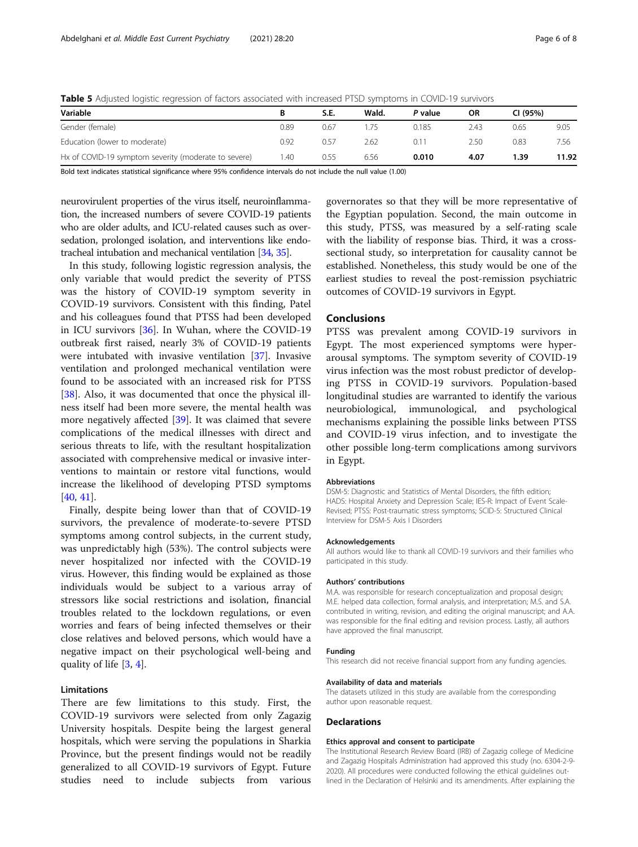<span id="page-5-0"></span>

| Table 5 Adiusted logistic regression of factors associated with increased PTSD symptoms in COVID-19 survivors |  |  |  |  |  |  |  |  |  |  |  |  |  |  |
|---------------------------------------------------------------------------------------------------------------|--|--|--|--|--|--|--|--|--|--|--|--|--|--|
|---------------------------------------------------------------------------------------------------------------|--|--|--|--|--|--|--|--|--|--|--|--|--|--|

| Variable                                             |      | <b>S.E.</b> | Wald. | P value | ΟR   | CI (95%) |       |
|------------------------------------------------------|------|-------------|-------|---------|------|----------|-------|
| Gender (female)                                      | 0.89 | 0.67        | .75   | 0.185   | 2.43 | 0.65     | 9.05  |
| Education (lower to moderate)                        | 0.92 | 0.57        | 2.62  | 0.11    | 2.50 | 0.83     | 7.56  |
| Hx of COVID-19 symptom severity (moderate to severe) | .40  | 0.55        | 6.56  | 0.010   | 4.07 | 1.39     | 11.92 |

Bold text indicates statistical significance where 95% confidence intervals do not include the null value (1.00)

neurovirulent properties of the virus itself, neuroinflammation, the increased numbers of severe COVID-19 patients who are older adults, and ICU-related causes such as oversedation, prolonged isolation, and interventions like endotracheal intubation and mechanical ventilation [[34](#page-6-0), [35](#page-6-0)].

In this study, following logistic regression analysis, the only variable that would predict the severity of PTSS was the history of COVID-19 symptom severity in COVID-19 survivors. Consistent with this finding, Patel and his colleagues found that PTSS had been developed in ICU survivors [\[36\]](#page-7-0). In Wuhan, where the COVID-19 outbreak first raised, nearly 3% of COVID-19 patients were intubated with invasive ventilation [\[37](#page-7-0)]. Invasive ventilation and prolonged mechanical ventilation were found to be associated with an increased risk for PTSS [[38\]](#page-7-0). Also, it was documented that once the physical illness itself had been more severe, the mental health was more negatively affected [[39\]](#page-7-0). It was claimed that severe complications of the medical illnesses with direct and serious threats to life, with the resultant hospitalization associated with comprehensive medical or invasive interventions to maintain or restore vital functions, would increase the likelihood of developing PTSD symptoms [[40,](#page-7-0) [41\]](#page-7-0).

Finally, despite being lower than that of COVID-19 survivors, the prevalence of moderate-to-severe PTSD symptoms among control subjects, in the current study, was unpredictably high (53%). The control subjects were never hospitalized nor infected with the COVID-19 virus. However, this finding would be explained as those individuals would be subject to a various array of stressors like social restrictions and isolation, financial troubles related to the lockdown regulations, or even worries and fears of being infected themselves or their close relatives and beloved persons, which would have a negative impact on their psychological well-being and quality of life [[3,](#page-6-0) [4\]](#page-6-0).

#### Limitations

There are few limitations to this study. First, the COVID-19 survivors were selected from only Zagazig University hospitals. Despite being the largest general hospitals, which were serving the populations in Sharkia Province, but the present findings would not be readily generalized to all COVID-19 survivors of Egypt. Future studies need to include subjects from various

governorates so that they will be more representative of the Egyptian population. Second, the main outcome in this study, PTSS, was measured by a self-rating scale with the liability of response bias. Third, it was a crosssectional study, so interpretation for causality cannot be established. Nonetheless, this study would be one of the earliest studies to reveal the post-remission psychiatric outcomes of COVID-19 survivors in Egypt.

#### Conclusions

PTSS was prevalent among COVID-19 survivors in Egypt. The most experienced symptoms were hyperarousal symptoms. The symptom severity of COVID-19 virus infection was the most robust predictor of developing PTSS in COVID-19 survivors. Population-based longitudinal studies are warranted to identify the various neurobiological, immunological, and psychological mechanisms explaining the possible links between PTSS and COVID-19 virus infection, and to investigate the other possible long-term complications among survivors in Egypt.

#### Abbreviations

DSM-5: Diagnostic and Statistics of Mental Disorders, the fifth edition; HADS: Hospital Anxiety and Depression Scale; IES-R: Impact of Event Scale-Revised; PTSS: Post-traumatic stress symptoms; SCID-5: Structured Clinical Interview for DSM-5 Axis I Disorders

#### Acknowledgements

All authors would like to thank all COVID-19 survivors and their families who participated in this study.

#### Authors' contributions

M.A. was responsible for research conceptualization and proposal design; M.E. helped data collection, formal analysis, and interpretation; M.S. and S.A. contributed in writing, revision, and editing the original manuscript; and A.A. was responsible for the final editing and revision process. Lastly, all authors have approved the final manuscript.

#### Funding

This research did not receive financial support from any funding agencies.

#### Availability of data and materials

The datasets utilized in this study are available from the corresponding author upon reasonable request.

#### **Declarations**

#### Ethics approval and consent to participate

The Institutional Research Review Board (IRB) of Zagazig college of Medicine and Zagazig Hospitals Administration had approved this study (no. 6304-2-9- 2020). All procedures were conducted following the ethical guidelines outlined in the Declaration of Helsinki and its amendments. After explaining the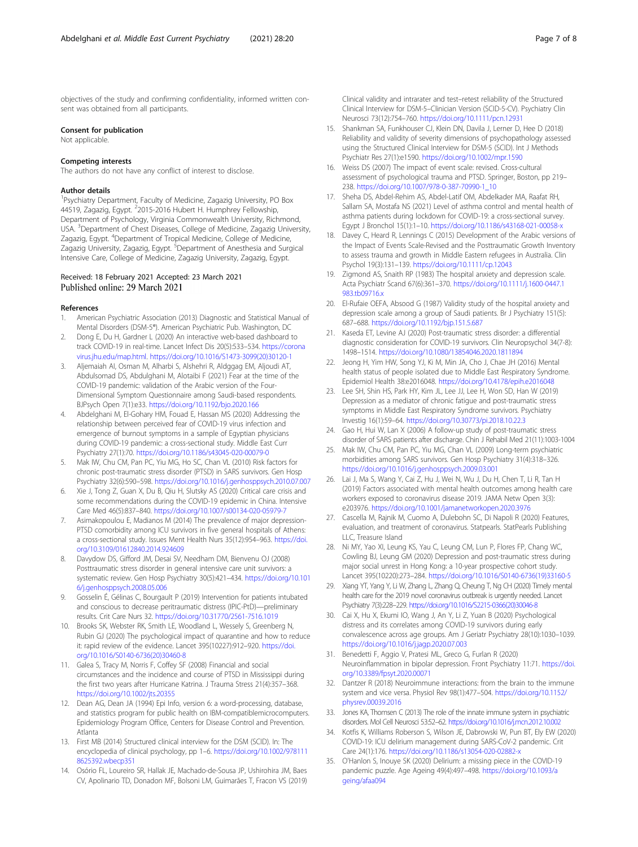<span id="page-6-0"></span>objectives of the study and confirming confidentiality, informed written consent was obtained from all participants.

#### Consent for publication

Not applicable.

#### Competing interests

The authors do not have any conflict of interest to disclose.

#### Author details

<sup>1</sup>Psychiatry Department, Faculty of Medicine, Zagazig University, PO Box 44519, Zagazig, Egypt. <sup>2</sup>2015-2016 Hubert H. Humphrey Fellowship, Department of Psychology, Virginia Commonwealth University, Richmond, USA. <sup>3</sup>Department of Chest Diseases, College of Medicine, Zagazig University, Zagazig, Egypt. <sup>4</sup>Department of Tropical Medicine, College of Medicine, Zagazig University, Zagazig, Egypt. <sup>5</sup>Department of Anesthesia and Surgical Intensive Care, College of Medicine, Zagazig University, Zagazig, Egypt.

#### Received: 18 February 2021 Accepted: 23 March 2021 Published online: 29 March 2021

#### References

- 1. American Psychiatric Association (2013) Diagnostic and Statistical Manual of Mental Disorders (DSM-5®). American Psychiatric Pub. Washington, DC
- 2. Dong E, Du H, Gardner L (2020) An interactive web-based dashboard to track COVID-19 in real-time. Lancet Infect Dis 20(5):533–534. [https://corona](https://coronavirus.jhu.edu/map.html) [virus.jhu.edu/map.html.](https://coronavirus.jhu.edu/map.html) [https://doi.org/10.1016/S1473-3099\(20\)30120-1](https://doi.org/10.1016/S1473-3099(20)30120-1)
- 3. Aljemaiah AI, Osman M, Alharbi S, Alshehri R, Aldggag EM, Aljoudi AT, Abdulsomad DS, Abdulghani M, Alotaibi F (2021) Fear at the time of the COVID-19 pandemic: validation of the Arabic version of the Four-Dimensional Symptom Questionnaire among Saudi-based respondents. BJPsych Open 7(1):e33. <https://doi.org/10.1192/bjo.2020.166>
- 4. Abdelghani M, El-Gohary HM, Fouad E, Hassan MS (2020) Addressing the relationship between perceived fear of COVID-19 virus infection and emergence of burnout symptoms in a sample of Egyptian physicians during COVID-19 pandemic: a cross-sectional study. Middle East Curr Psychiatry 27(1):70. <https://doi.org/10.1186/s43045-020-00079-0>
- 5. Mak IW, Chu CM, Pan PC, Yiu MG, Ho SC, Chan VL (2010) Risk factors for chronic post-traumatic stress disorder (PTSD) in SARS survivors. Gen Hosp Psychiatry 32(6):590–598. <https://doi.org/10.1016/j.genhosppsych.2010.07.007>
- 6. Xie J, Tong Z, Guan X, Du B, Qiu H, Slutsky AS (2020) Critical care crisis and some recommendations during the COVID-19 epidemic in China. Intensive Care Med 46(5):837–840. <https://doi.org/10.1007/s00134-020-05979-7>
- 7. Asimakopoulou E, Madianos M (2014) The prevalence of major depression-PTSD comorbidity among ICU survivors in five general hospitals of Athens: a cross-sectional study. Issues Ment Health Nurs 35(12):954–963. [https://doi.](https://doi.org/10.3109/01612840.2014.924609) [org/10.3109/01612840.2014.924609](https://doi.org/10.3109/01612840.2014.924609)
- 8. Davydow DS, Gifford JM, Desai SV, Needham DM, Bienvenu OJ (2008) Posttraumatic stress disorder in general intensive care unit survivors: a systematic review. Gen Hosp Psychiatry 30(5):421–434. [https://doi.org/10.101](https://doi.org/10.1016/j.genhosppsych.2008.05.006) [6/j.genhosppsych.2008.05.006](https://doi.org/10.1016/j.genhosppsych.2008.05.006)
- Gosselin É, Gélinas C, Bourgault P (2019) Intervention for patients intubated and conscious to decrease peritraumatic distress (IPIC-PtD)—preliminary results. Crit Care Nurs 32. <https://doi.org/10.31770/2561-7516.1019>
- 10. Brooks SK, Webster RK, Smith LE, Woodland L, Wessely S, Greenberg N, Rubin GJ (2020) The psychological impact of quarantine and how to reduce it: rapid review of the evidence. Lancet 395(10227):912–920. [https://doi.](https://doi.org/10.1016/S0140-6736(20)30460-8) [org/10.1016/S0140-6736\(20\)30460-8](https://doi.org/10.1016/S0140-6736(20)30460-8)
- 11. Galea S, Tracy M, Norris F, Coffey SF (2008) Financial and social circumstances and the incidence and course of PTSD in Mississippi during the first two years after Hurricane Katrina. J Trauma Stress 21(4):357–368. <https://doi.org/10.1002/jts.20355>
- 12. Dean AG, Dean JA (1994) Epi Info, version 6: a word-processing, database, and statistics program for public health on IBM-compatiblemicrocomputers. Epidemiology Program Office, Centers for Disease Control and Prevention. Atlanta
- 13. First MB (2014) Structured clinical interview for the DSM (SCID). In: The encyclopedia of clinical psychology, pp 1–6. [https://doi.org/10.1002/978111](https://doi.org/10.1002/9781118625392.wbecp351) [8625392.wbecp351](https://doi.org/10.1002/9781118625392.wbecp351)
- 14. Osório FL, Loureiro SR, Hallak JE, Machado-de-Sousa JP, Ushirohira JM, Baes CV, Apolinario TD, Donadon MF, Bolsoni LM, Guimarães T, Fracon VS (2019)

Clinical validity and intrarater and test–retest reliability of the Structured Clinical Interview for DSM-5–Clinician Version (SCID-5-CV). Psychiatry Clin Neurosci 73(12):754–760. <https://doi.org/10.1111/pcn.12931>

- 15. Shankman SA, Funkhouser CJ, Klein DN, Davila J, Lerner D, Hee D (2018) Reliability and validity of severity dimensions of psychopathology assessed using the Structured Clinical Interview for DSM-5 (SCID). Int J Methods Psychiatr Res 27(1):e1590. <https://doi.org/10.1002/mpr.1590>
- 16. Weiss DS (2007) The impact of event scale: revised. Cross-cultural assessment of psychological trauma and PTSD. Springer, Boston, pp 219– 238. [https://doi.org/10.1007/978-0-387-70990-1\\_10](https://doi.org/10.1007/978-0-387-70990-1_10)
- 17. Sheha DS, Abdel-Rehim AS, Abdel-Latif OM, Abdelkader MA, Raafat RH, Sallam SA, Mostafa NS (2021) Level of asthma control and mental health of asthma patients during lockdown for COVID-19: a cross-sectional survey. Egypt J Bronchol 15(1):1–10. <https://doi.org/10.1186/s43168-021-00058-x>
- 18. Davey C, Heard R, Lennings C (2015) Development of the Arabic versions of the Impact of Events Scale-Revised and the Posttraumatic Growth Inventory to assess trauma and growth in Middle Eastern refugees in Australia. Clin Psychol 19(3):131–139. <https://doi.org/10.1111/cp.12043>
- 19. Zigmond AS, Snaith RP (1983) The hospital anxiety and depression scale. Acta Psychiatr Scand 67(6):361–370. [https://doi.org/10.1111/j.1600-0447.1](https://doi.org/10.1111/j.1600-0447.1983.tb09716.x) [983.tb09716.x](https://doi.org/10.1111/j.1600-0447.1983.tb09716.x)
- 20. El-Rufaie OEFA, Absood G (1987) Validity study of the hospital anxiety and depression scale among a group of Saudi patients. Br J Psychiatry 151(5): 687–688. <https://doi.org/10.1192/bjp.151.5.687>
- 21. Kaseda ET, Levine AJ (2020) Post-traumatic stress disorder: a differential diagnostic consideration for COVID-19 survivors. Clin Neuropsychol 34(7-8): 1498–1514. <https://doi.org/10.1080/13854046.2020.1811894>
- 22. Jeong H, Yim HW, Song YJ, Ki M, Min JA, Cho J, Chae JH (2016) Mental health status of people isolated due to Middle East Respiratory Syndrome. Epidemiol Health 38:e2016048. <https://doi.org/10.4178/epih.e2016048>
- 23. Lee SH, Shin HS, Park HY, Kim JL, Lee JJ, Lee H, Won SD, Han W (2019) Depression as a mediator of chronic fatigue and post-traumatic stress symptoms in Middle East Respiratory Syndrome survivors. Psychiatry Investig 16(1):59–64. <https://doi.org/10.30773/pi.2018.10.22.3>
- 24. Gao H, Hui W, Lan X (2006) A follow-up study of post-traumatic stress disorder of SARS patients after discharge. Chin J Rehabil Med 21(11):1003-1004
- 25. Mak IW, Chu CM, Pan PC, Yiu MG, Chan VL (2009) Long-term psychiatric morbidities among SARS survivors. Gen Hosp Psychiatry 31(4):318–326. <https://doi.org/10.1016/j.genhosppsych.2009.03.001>
- 26. Lai J, Ma S, Wang Y, Cai Z, Hu J, Wei N, Wu J, Du H, Chen T, Li R, Tan H (2019) Factors associated with mental health outcomes among health care workers exposed to coronavirus disease 2019. JAMA Netw Open 3(3): e203976. <https://doi.org/10.1001/jamanetworkopen.2020.3976>
- 27. Cascella M, Rajnik M, Cuomo A, Dulebohn SC, Di Napoli R (2020) Features, evaluation, and treatment of coronavirus. Statpearls. StatPearls Publishing LLC, Treasure Island
- 28. Ni MY, Yao XI, Leung KS, Yau C, Leung CM, Lun P, Flores FP, Chang WC, Cowling BJ, Leung GM (2020) Depression and post-traumatic stress during major social unrest in Hong Kong: a 10-year prospective cohort study. Lancet 395(10220):273–284. [https://doi.org/10.1016/S0140-6736\(19\)33160-5](https://doi.org/10.1016/S0140-6736(19)33160-5)
- 29. Xiang YT, Yang Y, Li W, Zhang L, Zhang Q, Cheung T, Ng CH (2020) Timely mental health care for the 2019 novel coronavirus outbreak is urgently needed. Lancet Psychiatry 7(3):228–229. [https://doi.org/10.1016/S2215-0366\(20\)30046-8](https://doi.org/10.1016/S2215-0366(20)30046-8)
- 30. Cai X, Hu X, Ekumi IO, Wang J, An Y, Li Z, Yuan B (2020) Psychological distress and its correlates among COVID-19 survivors during early convalescence across age groups. Am J Geriatr Psychiatry 28(10):1030–1039. <https://doi.org/10.1016/j.jagp.2020.07.003>
- 31. Benedetti F, Aggio V, Pratesi ML, Greco G, Furlan R (2020) Neuroinflammation in bipolar depression. Front Psychiatry 11:71. [https://doi.](https://doi.org/10.3389/fpsyt.2020.00071) [org/10.3389/fpsyt.2020.00071](https://doi.org/10.3389/fpsyt.2020.00071)
- 32. Dantzer R (2018) Neuroimmune interactions: from the brain to the immune system and vice versa. Physiol Rev 98(1):477–504. [https://doi.org/10.1152/](https://doi.org/10.1152/physrev.00039.2016) [physrev.00039.2016](https://doi.org/10.1152/physrev.00039.2016)
- 33. Jones KA, Thomsen C (2013) The role of the innate immune system in psychiatric disorders. Mol Cell Neurosci 53:52–62. <https://doi.org/10.1016/j.mcn.2012.10.002>
- 34. Kotfis K, Williams Roberson S, Wilson JE, Dabrowski W, Pun BT, Ely EW (2020) COVID-19: ICU delirium management during SARS-CoV-2 pandemic. Crit Care 24(1):176. <https://doi.org/10.1186/s13054-020-02882-x>
- 35. O'Hanlon S, Inouye SK (2020) Delirium: a missing piece in the COVID-19 pandemic puzzle. Age Ageing 49(4):497–498. [https://doi.org/10.1093/a](https://doi.org/10.1093/ageing/afaa094) [geing/afaa094](https://doi.org/10.1093/ageing/afaa094)